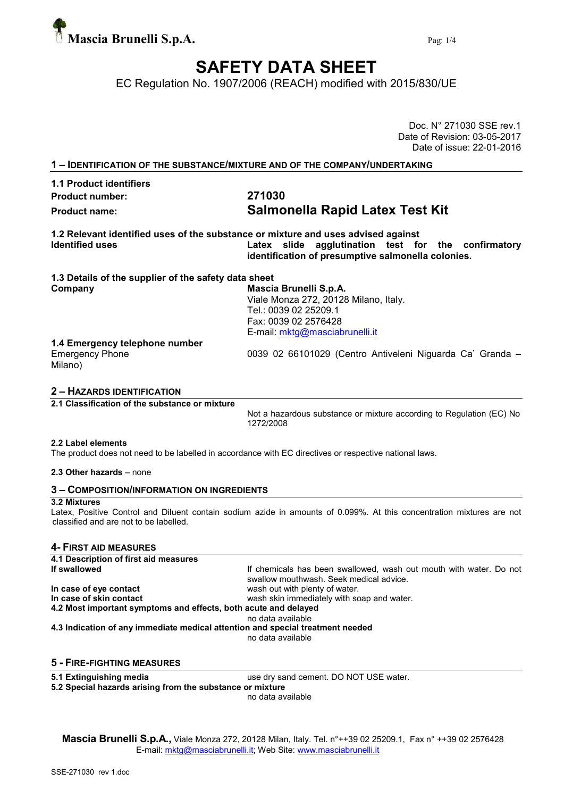

# SAFETY DATA SHEET

EC Regulation No. 1907/2006 (REACH) modified with 2015/830/UE

Date of Revision: 03-05-2017 Date of issue: 22-01-2016 1 – IDENTIFICATION OF THE SUBSTANCE/MIXTURE AND OF THE COMPANY/UNDERTAKING 1.1 Product identifiers Product number: 271030 Product name: Salmonella Rapid Latex Test Kit 1.2 Relevant identified uses of the substance or mixture and uses advised against<br>Latex slide agalutination test fo Latex slide agglutination test for the confirmatory identification of presumptive salmonella colonies. 1.3 Details of the supplier of the safety data sheet Company Mascia Brunelli S.p.A. Viale Monza 272, 20128 Milano, Italy. Tel.: 0039 02 25209.1 Fax: 0039 02 2576428 E-mail: mktg@masciabrunelli.it 1.4 Emergency telephone number Emergency Phone 0039 02 66101029 (Centro Antiveleni Niguarda Ca' Granda – Milano)

## 2 – HAZARDS IDENTIFICATION

2.1 Classification of the substance or mixture

Not a hazardous substance or mixture according to Regulation (EC) No 1272/2008

#### 2.2 Label elements

The product does not need to be labelled in accordance with EC directives or respective national laws.

#### 2.3 Other hazards – none

### 3 – COMPOSITION/INFORMATION ON INGREDIENTS

## 3.2 Mixtures

Latex, Positive Control and Diluent contain sodium azide in amounts of 0.099%. At this concentration mixtures are not classified and are not to be labelled.

## 4- FIRST AID MEASURES

| 4.1 Description of first aid measures                                          |                                                                                                               |
|--------------------------------------------------------------------------------|---------------------------------------------------------------------------------------------------------------|
| If swallowed                                                                   | If chemicals has been swallowed, wash out mouth with water. Do not<br>swallow mouthwash. Seek medical advice. |
| In case of eye contact                                                         | wash out with plenty of water.                                                                                |
| In case of skin contact                                                        | wash skin immediately with soap and water.                                                                    |
| 4.2 Most important symptoms and effects, both acute and delayed                |                                                                                                               |
|                                                                                | no data available                                                                                             |
| 4.3 Indication of any immediate medical attention and special treatment needed |                                                                                                               |
|                                                                                | no data available                                                                                             |
|                                                                                |                                                                                                               |

### 5 - FIRE-FIGHTING MEASURES

5.1 Extinguishing media use dry sand cement. DO NOT USE water.

5.2 Special hazards arising from the substance or mixture

no data available

Mascia Brunelli S.p.A., Viale Monza 272, 20128 Milan, Italy. Tel. n°++39 02 25209.1, Fax n° ++39 02 2576428 E-mail: mktg@masciabrunelli.it; Web Site: www.masciabrunelli.it

Doc. N° 271030 SSE rev.1

|   | TPERTH IVATION OF THE OUDUTARUM MINI VILE AND OF THE VOINT ARTIVINDER. |  |
|---|------------------------------------------------------------------------|--|
|   |                                                                        |  |
| . |                                                                        |  |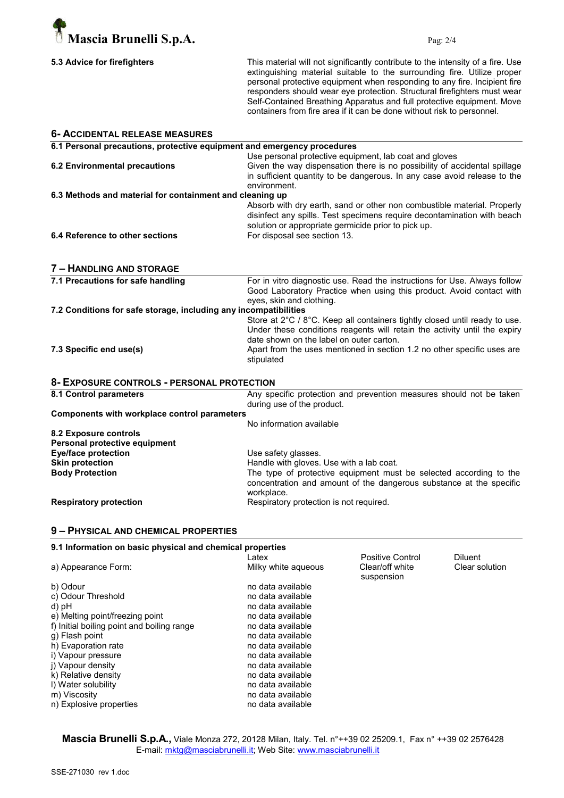

| 5.3 Advice for firefighters |  |
|-----------------------------|--|
|-----------------------------|--|

This material will not significantly contribute to the intensity of a fire. Use extinguishing material suitable to the surrounding fire. Utilize proper personal protective equipment when responding to any fire. Incipient fire responders should wear eye protection. Structural firefighters must wear Self-Contained Breathing Apparatus and full protective equipment. Move containers from fire area if it can be done without risk to personnel.

| <b>6- ACCIDENTAL RELEASE MEASURES</b>                                   |                                                                            |
|-------------------------------------------------------------------------|----------------------------------------------------------------------------|
| 6.1 Personal precautions, protective equipment and emergency procedures |                                                                            |
|                                                                         | Use personal protective equipment, lab coat and gloves                     |
| <b>6.2 Environmental precautions</b>                                    | Given the way dispensation there is no possibility of accidental spillage  |
|                                                                         | in sufficient quantity to be dangerous. In any case avoid release to the   |
|                                                                         | environment.                                                               |
| 6.3 Methods and material for containment and cleaning up                |                                                                            |
|                                                                         | Absorb with dry earth, sand or other non combustible material. Properly    |
|                                                                         | disinfect any spills. Test specimens require decontamination with beach    |
|                                                                         | solution or appropriate germicide prior to pick up.                        |
| 6.4 Reference to other sections                                         | For disposal see section 13.                                               |
|                                                                         |                                                                            |
| 7 - HANDLING AND STORAGE                                                |                                                                            |
| 7.1 Precautions for safe handling                                       | For in vitro diagnostic use. Read the instructions for Use. Always follow  |
|                                                                         | Good Laboratory Practice when using this product. Avoid contact with       |
|                                                                         | eyes, skin and clothing.                                                   |
| 7.2 Conditions for safe storage, including any incompatibilities        |                                                                            |
|                                                                         | Store at 2°C / 8°C. Keep all containers tightly closed until ready to use. |
|                                                                         | Under these conditions reagents will retain the activity until the expiry  |
|                                                                         | date shown on the label on outer carton.                                   |
| 7.3 Specific end use(s)                                                 | Apart from the uses mentioned in section 1.2 no other specific uses are    |
|                                                                         | stipulated                                                                 |
| 8- EXPOSURE CONTROLS - PERSONAL PROTECTION                              |                                                                            |
| 8.1 Control parameters                                                  | Any specific protection and prevention measures should not be taken        |
|                                                                         | during use of the product.                                                 |
| <b>Components with workplace control parameters</b>                     |                                                                            |
|                                                                         | No information available                                                   |
| 8.2 Exposure controls                                                   |                                                                            |
| Personal protective equipment                                           |                                                                            |
| <b>Eye/face protection</b>                                              | Use safety glasses.                                                        |
| <b>Skin protection</b>                                                  | Handle with gloves. Use with a lab coat.                                   |
| <b>Body Protection</b>                                                  | The type of protective equipment must be selected according to the         |
|                                                                         | concentration and amount of the dangerous substance at the specific        |
|                                                                         | workplace.                                                                 |
| <b>Respiratory protection</b>                                           | Respiratory protection is not required.                                    |
|                                                                         |                                                                            |

## 9 – PHYSICAL AND CHEMICAL PROPERTIES

| 9.1 Information on basic physical and chemical properties |                     |                               |                |
|-----------------------------------------------------------|---------------------|-------------------------------|----------------|
|                                                           | Latex               | Positive Control              | <b>Diluent</b> |
| a) Appearance Form:                                       | Milky white agueous | Clear/off white<br>suspension | Clear solution |
| b) Odour                                                  | no data available   |                               |                |
| c) Odour Threshold                                        | no data available   |                               |                |
| d) pH                                                     | no data available   |                               |                |
| e) Melting point/freezing point                           | no data available   |                               |                |
| f) Initial boiling point and boiling range                | no data available   |                               |                |
| q) Flash point                                            | no data available   |                               |                |
| h) Evaporation rate                                       | no data available   |                               |                |
| i) Vapour pressure                                        | no data available   |                               |                |
| i) Vapour density                                         | no data available   |                               |                |
| k) Relative density                                       | no data available   |                               |                |
| I) Water solubility                                       | no data available   |                               |                |
| m) Viscosity                                              | no data available   |                               |                |
| n) Explosive properties                                   | no data available   |                               |                |

Mascia Brunelli S.p.A., Viale Monza 272, 20128 Milan, Italy. Tel. n°++39 02 25209.1, Fax n° ++39 02 2576428 E-mail: mktg@masciabrunelli.it; Web Site: www.masciabrunelli.it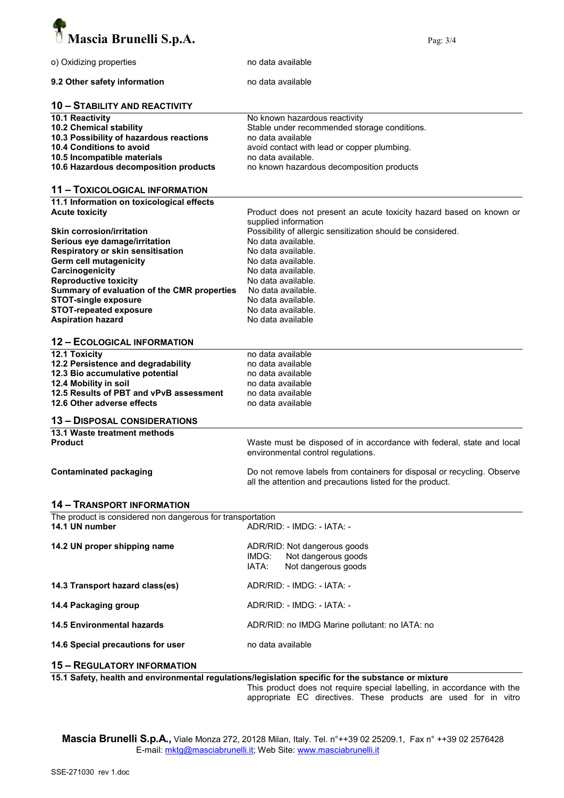

| o) Oxidizing properties                                    | no data available                                                                                           |
|------------------------------------------------------------|-------------------------------------------------------------------------------------------------------------|
| 9.2 Other safety information                               | no data available                                                                                           |
| <b>10 - STABILITY AND REACTIVITY</b>                       |                                                                                                             |
| 10.1 Reactivity                                            | No known hazardous reactivity                                                                               |
| 10.2 Chemical stability                                    | Stable under recommended storage conditions.                                                                |
|                                                            |                                                                                                             |
| 10.3 Possibility of hazardous reactions                    | no data available                                                                                           |
| 10.4 Conditions to avoid                                   | avoid contact with lead or copper plumbing.                                                                 |
| 10.5 Incompatible materials                                | no data available.                                                                                          |
| 10.6 Hazardous decomposition products                      | no known hazardous decomposition products                                                                   |
| 11 - TOXICOLOGICAL INFORMATION                             |                                                                                                             |
| 11.1 Information on toxicological effects                  |                                                                                                             |
| <b>Acute toxicity</b>                                      | Product does not present an acute toxicity hazard based on known or                                         |
|                                                            | supplied information                                                                                        |
|                                                            |                                                                                                             |
| <b>Skin corrosion/irritation</b>                           | Possibility of allergic sensitization should be considered.                                                 |
| Serious eye damage/irritation                              | No data available.                                                                                          |
| Respiratory or skin sensitisation                          | No data available.                                                                                          |
| Germ cell mutagenicity                                     | No data available.                                                                                          |
| Carcinogenicity                                            | No data available.                                                                                          |
| <b>Reproductive toxicity</b>                               | No data available.                                                                                          |
|                                                            |                                                                                                             |
| Summary of evaluation of the CMR properties                | No data available.                                                                                          |
| <b>STOT-single exposure</b>                                | No data available.                                                                                          |
| <b>STOT-repeated exposure</b>                              | No data available.                                                                                          |
| <b>Aspiration hazard</b>                                   | No data available                                                                                           |
| <b>12 - ECOLOGICAL INFORMATION</b>                         |                                                                                                             |
|                                                            |                                                                                                             |
| 12.1 Toxicity                                              | no data available                                                                                           |
| 12.2 Persistence and degradability                         | no data available                                                                                           |
| 12.3 Bio accumulative potential                            | no data available                                                                                           |
| 12.4 Mobility in soil                                      | no data available                                                                                           |
| 12.5 Results of PBT and vPvB assessment                    | no data available                                                                                           |
| 12.6 Other adverse effects                                 | no data available                                                                                           |
|                                                            |                                                                                                             |
| <b>13 - DISPOSAL CONSIDERATIONS</b>                        |                                                                                                             |
| 13.1 Waste treatment methods                               |                                                                                                             |
| <b>Product</b>                                             | Waste must be disposed of in accordance with federal, state and local<br>environmental control regulations. |
| <b>Contaminated packaging</b>                              | Do not remove labels from containers for disposal or recycling. Observe                                     |
|                                                            | all the attention and precautions listed for the product.                                                   |
| <b>14 - TRANSPORT INFORMATION</b>                          |                                                                                                             |
| The product is considered non dangerous for transportation |                                                                                                             |
| 14.1 UN number                                             | ADR/RID: - IMDG: - IATA: -                                                                                  |
| 14.2 UN proper shipping name                               | ADR/RID: Not dangerous goods                                                                                |
|                                                            | Not dangerous goods<br>IMDG:                                                                                |
|                                                            | IATA:<br>Not dangerous goods                                                                                |
| 14.3 Transport hazard class(es)                            | ADR/RID: - IMDG: - IATA: -                                                                                  |
|                                                            |                                                                                                             |
| 14.4 Packaging group                                       | ADR/RID: - IMDG: - IATA: -                                                                                  |
| <b>14.5 Environmental hazards</b>                          | ADR/RID: no IMDG Marine pollutant: no IATA: no                                                              |
| 14.6 Special precautions for user                          | no data available                                                                                           |
| <b>15 - REGULATORY INFORMATION</b>                         |                                                                                                             |
|                                                            | 15.1 Safety, hoalth and environmental requistions/legislation specific for the substance or mixture         |

15.1 Safety, health and environmental regulations/legislation specific for the substance or mixture

This product does not require special labelling, in accordance with the appropriate EC directives. These products are used for in vitro

Mascia Brunelli S.p.A., Viale Monza 272, 20128 Milan, Italy. Tel. n°++39 02 25209.1, Fax n° ++39 02 2576428 E-mail: mktg@masciabrunelli.it; Web Site: www.masciabrunelli.it